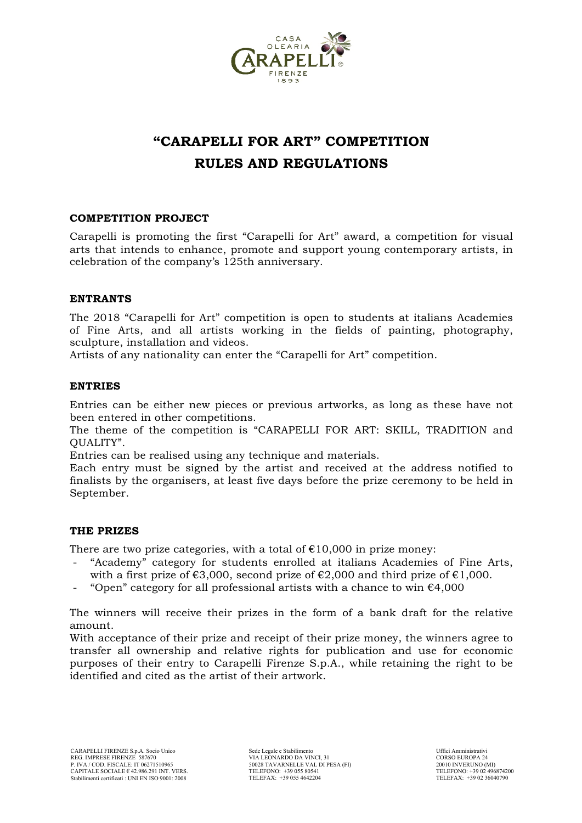

# **"CARAPELLI FOR ART" COMPETITION RULES AND REGULATIONS**

## **COMPETITION PROJECT**

Carapelli is promoting the first "Carapelli for Art" award, a competition for visual arts that intends to enhance, promote and support young contemporary artists, in celebration of the company's 125th anniversary.

## **ENTRANTS**

The 2018 "Carapelli for Art" competition is open to students at italians Academies of Fine Arts, and all artists working in the fields of painting, photography, sculpture, installation and videos.

Artists of any nationality can enter the "Carapelli for Art" competition.

## **ENTRIES**

Entries can be either new pieces or previous artworks, as long as these have not been entered in other competitions.

The theme of the competition is "CARAPELLI FOR ART: SKILL, TRADITION and QUALITY".

Entries can be realised using any technique and materials.

Each entry must be signed by the artist and received at the address notified to finalists by the organisers, at least five days before the prize ceremony to be held in September.

## **THE PRIZES**

There are two prize categories, with a total of  $£10,000$  in prize money:

- "Academy" category for students enrolled at italians Academies of Fine Arts, with a first prize of  $\epsilon$ 3,000, second prize of  $\epsilon$ 2,000 and third prize of  $\epsilon$ 1,000.
- "Open" category for all professional artists with a chance to win  $\epsilon$ 4,000

The winners will receive their prizes in the form of a bank draft for the relative amount.

With acceptance of their prize and receipt of their prize money, the winners agree to transfer all ownership and relative rights for publication and use for economic purposes of their entry to Carapelli Firenze S.p.A., while retaining the right to be identified and cited as the artist of their artwork.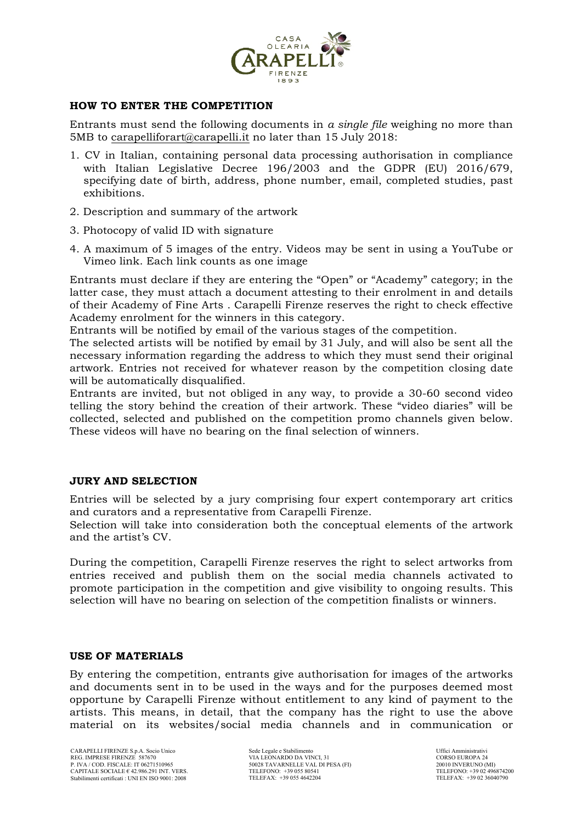

## **HOW TO ENTER THE COMPETITION**

Entrants must send the following documents in *a single file* weighing no more than 5MB to carapelliforart@carapelli.it no later than 15 July 2018:

- 1. CV in Italian, containing personal data processing authorisation in compliance with Italian Legislative Decree 196/2003 and the GDPR (EU) 2016/679, specifying date of birth, address, phone number, email, completed studies, past exhibitions.
- 2. Description and summary of the artwork
- 3. Photocopy of valid ID with signature
- 4. A maximum of 5 images of the entry. Videos may be sent in using a YouTube or Vimeo link. Each link counts as one image

Entrants must declare if they are entering the "Open" or "Academy" category; in the latter case, they must attach a document attesting to their enrolment in and details of their Academy of Fine Arts . Carapelli Firenze reserves the right to check effective Academy enrolment for the winners in this category.

Entrants will be notified by email of the various stages of the competition.

The selected artists will be notified by email by 31 July, and will also be sent all the necessary information regarding the address to which they must send their original artwork. Entries not received for whatever reason by the competition closing date will be automatically disqualified.

Entrants are invited, but not obliged in any way, to provide a 30-60 second video telling the story behind the creation of their artwork. These "video diaries" will be collected, selected and published on the competition promo channels given below. These videos will have no bearing on the final selection of winners.

## **JURY AND SELECTION**

Entries will be selected by a jury comprising four expert contemporary art critics and curators and a representative from Carapelli Firenze.

Selection will take into consideration both the conceptual elements of the artwork and the artist's CV.

During the competition, Carapelli Firenze reserves the right to select artworks from entries received and publish them on the social media channels activated to promote participation in the competition and give visibility to ongoing results. This selection will have no bearing on selection of the competition finalists or winners.

## **USE OF MATERIALS**

By entering the competition, entrants give authorisation for images of the artworks and documents sent in to be used in the ways and for the purposes deemed most opportune by Carapelli Firenze without entitlement to any kind of payment to the artists. This means, in detail, that the company has the right to use the above material on its websites/social media channels and in communication or

Sede Legale e Stabilimento VIA LEONARDO DA VINCI, 31 50028 TAVARNELLE VAL DI PESA (FI) TELEFONO: +39 055 80541 TELEFAX: +39 055 4642204

Uffici Amministrativi CORSO EUROPA 24 20010 INVERUNO (MI) TELEFONO: +39 02 496874200 TELEFAX: +39 02 36040790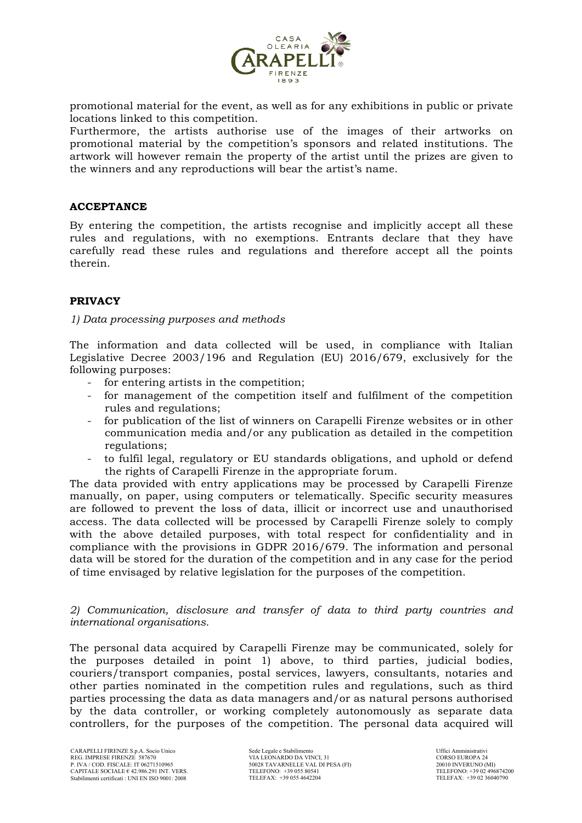

promotional material for the event, as well as for any exhibitions in public or private locations linked to this competition.

Furthermore, the artists authorise use of the images of their artworks on promotional material by the competition's sponsors and related institutions. The artwork will however remain the property of the artist until the prizes are given to the winners and any reproductions will bear the artist's name.

## **ACCEPTANCE**

By entering the competition, the artists recognise and implicitly accept all these rules and regulations, with no exemptions. Entrants declare that they have carefully read these rules and regulations and therefore accept all the points therein.

## **PRIVACY**

## *1) Data processing purposes and methods*

The information and data collected will be used, in compliance with Italian Legislative Decree 2003/196 and Regulation (EU) 2016/679, exclusively for the following purposes:

- for entering artists in the competition;
- for management of the competition itself and fulfilment of the competition rules and regulations;
- for publication of the list of winners on Carapelli Firenze websites or in other communication media and/or any publication as detailed in the competition regulations;
- to fulfil legal, regulatory or EU standards obligations, and uphold or defend the rights of Carapelli Firenze in the appropriate forum.

The data provided with entry applications may be processed by Carapelli Firenze manually, on paper, using computers or telematically. Specific security measures are followed to prevent the loss of data, illicit or incorrect use and unauthorised access. The data collected will be processed by Carapelli Firenze solely to comply with the above detailed purposes, with total respect for confidentiality and in compliance with the provisions in GDPR 2016/679. The information and personal data will be stored for the duration of the competition and in any case for the period of time envisaged by relative legislation for the purposes of the competition.

## *2) Communication, disclosure and transfer of data to third party countries and international organisations.*

The personal data acquired by Carapelli Firenze may be communicated, solely for the purposes detailed in point 1) above, to third parties, judicial bodies, couriers/transport companies, postal services, lawyers, consultants, notaries and other parties nominated in the competition rules and regulations, such as third parties processing the data as data managers and/or as natural persons authorised by the data controller, or working completely autonomously as separate data controllers, for the purposes of the competition. The personal data acquired will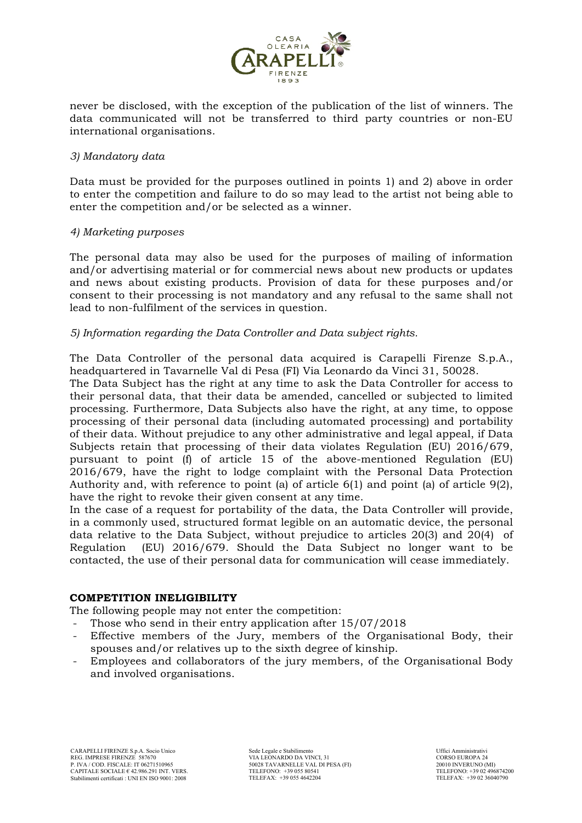

never be disclosed, with the exception of the publication of the list of winners. The data communicated will not be transferred to third party countries or non-EU international organisations.

## *3) Mandatory data*

Data must be provided for the purposes outlined in points 1) and 2) above in order to enter the competition and failure to do so may lead to the artist not being able to enter the competition and/or be selected as a winner.

## *4) Marketing purposes*

The personal data may also be used for the purposes of mailing of information and/or advertising material or for commercial news about new products or updates and news about existing products. Provision of data for these purposes and/or consent to their processing is not mandatory and any refusal to the same shall not lead to non-fulfilment of the services in question.

## *5) Information regarding the Data Controller and Data subject rights.*

The Data Controller of the personal data acquired is Carapelli Firenze S.p.A., headquartered in Tavarnelle Val di Pesa (FI) Via Leonardo da Vinci 31, 50028.

The Data Subject has the right at any time to ask the Data Controller for access to their personal data, that their data be amended, cancelled or subjected to limited processing. Furthermore, Data Subjects also have the right, at any time, to oppose processing of their personal data (including automated processing) and portability of their data. Without prejudice to any other administrative and legal appeal, if Data Subjects retain that processing of their data violates Regulation (EU) 2016/679, pursuant to point (f) of article 15 of the above-mentioned Regulation (EU) 2016/679, have the right to lodge complaint with the Personal Data Protection Authority and, with reference to point (a) of article  $6(1)$  and point (a) of article  $9(2)$ , have the right to revoke their given consent at any time.

In the case of a request for portability of the data, the Data Controller will provide, in a commonly used, structured format legible on an automatic device, the personal data relative to the Data Subject, without prejudice to articles 20(3) and 20(4) of Regulation (EU) 2016/679. Should the Data Subject no longer want to be contacted, the use of their personal data for communication will cease immediately.

## **COMPETITION INELIGIBILITY**

The following people may not enter the competition:

- Those who send in their entry application after  $15/07/2018$
- Effective members of the Jury, members of the Organisational Body, their spouses and/or relatives up to the sixth degree of kinship.
- Employees and collaborators of the jury members, of the Organisational Body and involved organisations.